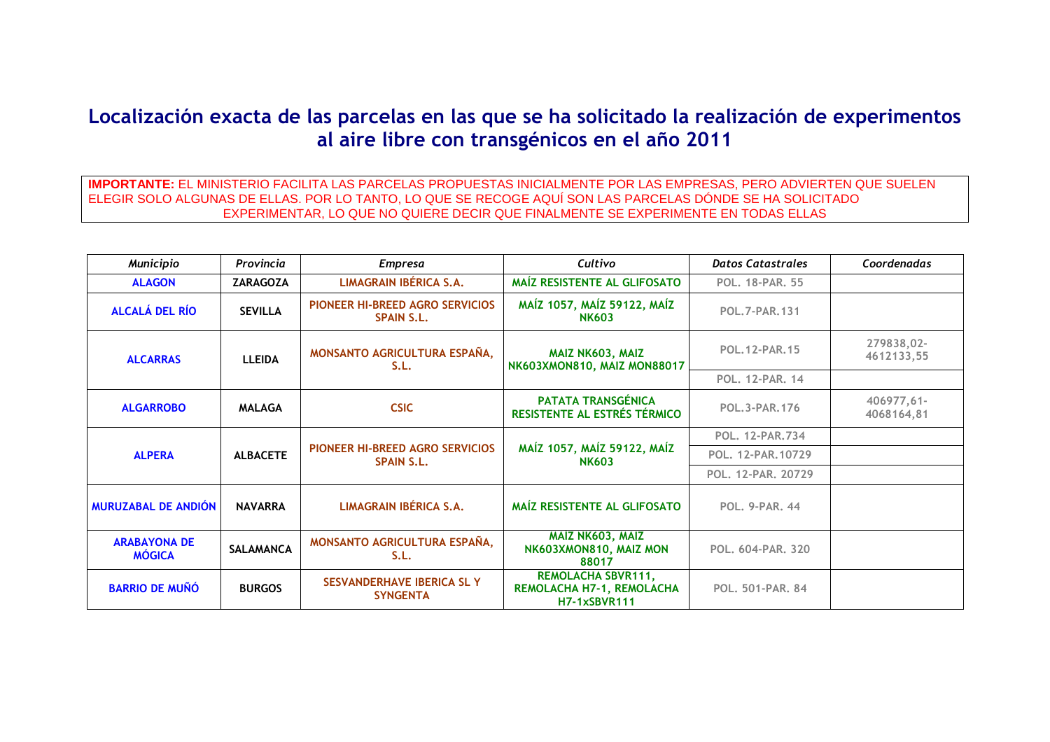## **Localización exacta de las parcelas en las que se ha solicitado la realización de experimentos al aire libre con transgénicos en el año 2011**

**IMPORTANTE:** EL MINISTERIO FACILITA LAS PARCELAS PROPUESTAS INICIALMENTE POR LAS EMPRESAS, PERO ADVIERTEN QUE SUELEN ELEGIR SOLO ALGUNAS DE ELLAS. POR LO TANTO, LO QUE SE RECOGE AQUÍ SON LAS PARCELAS DÓNDE SE HA SOLICITADO EXPERIMENTAR, LO QUE NO QUIERE DECIR QUE FINALMENTE SE EXPERIMENTE EN TODAS ELLAS

| <b>Municipio</b>                     | Provincia        | <b>Empresa</b>                                              | Cultivo                                                                       | <b>Datos Catastrales</b> | Coordenadas              |
|--------------------------------------|------------------|-------------------------------------------------------------|-------------------------------------------------------------------------------|--------------------------|--------------------------|
| <b>ALAGON</b>                        | <b>ZARAGOZA</b>  | LIMAGRAIN IBÉRICA S.A.                                      | MAÍZ RESISTENTE AL GLIFOSATO                                                  | <b>POL. 18-PAR. 55</b>   |                          |
| <b>ALCALÁ DEL RÍO</b>                | <b>SEVILLA</b>   | <b>PIONEER HI-BREED AGRO SERVICIOS</b><br><b>SPAIN S.L.</b> | MAÍZ 1057, MAÍZ 59122, MAÍZ<br><b>NK603</b>                                   | <b>POL.7-PAR.131</b>     |                          |
| <b>ALCARRAS</b>                      | <b>LLEIDA</b>    | MONSANTO AGRICULTURA ESPAÑA,<br>S.L.                        | MAIZ NK603, MAIZ<br>NK603XMON810, MAIZ MON88017                               | <b>POL. 12-PAR. 15</b>   | 279838,02-<br>4612133,55 |
|                                      |                  |                                                             |                                                                               | <b>POL. 12-PAR. 14</b>   |                          |
| <b>ALGARROBO</b>                     | <b>MALAGA</b>    | <b>CSIC</b>                                                 | <b>PATATA TRANSGÉNICA</b><br>RESISTENTE AL ESTRÉS TÉRMICO                     | <b>POL.3-PAR.176</b>     | 406977,61-<br>4068164,81 |
|                                      | <b>ALBACETE</b>  | PIONEER HI-BREED AGRO SERVICIOS<br><b>SPAIN S.L.</b>        | MAÍZ 1057, MAÍZ 59122, MAÍZ<br><b>NK603</b>                                   | POL. 12-PAR. 734         |                          |
| <b>ALPERA</b>                        |                  |                                                             |                                                                               | POL. 12-PAR. 10729       |                          |
|                                      |                  |                                                             |                                                                               | POL. 12-PAR. 20729       |                          |
| <b>MURUZABAL DE ANDIÓN</b>           | <b>NAVARRA</b>   | LIMAGRAIN IBÉRICA S.A.                                      | <b>MAÍZ RESISTENTE AL GLIFOSATO</b>                                           | <b>POL. 9-PAR. 44</b>    |                          |
| <b>ARABAYONA DE</b><br><b>MÓGICA</b> | <b>SALAMANCA</b> | MONSANTO AGRICULTURA ESPAÑA,<br>S.L.                        | MAÍZ NK603, MAIZ<br>NK603XMON810, MAIZ MON<br>88017                           | POL. 604-PAR. 320        |                          |
| <b>BARRIO DE MUÑÓ</b>                | <b>BURGOS</b>    | SESVANDERHAVE IBERICA SL Y<br><b>SYNGENTA</b>               | <b>REMOLACHA SBVR111,</b><br>REMOLACHA H7-1, REMOLACHA<br><b>H7-1xSBVR111</b> | POL. 501-PAR. 84         |                          |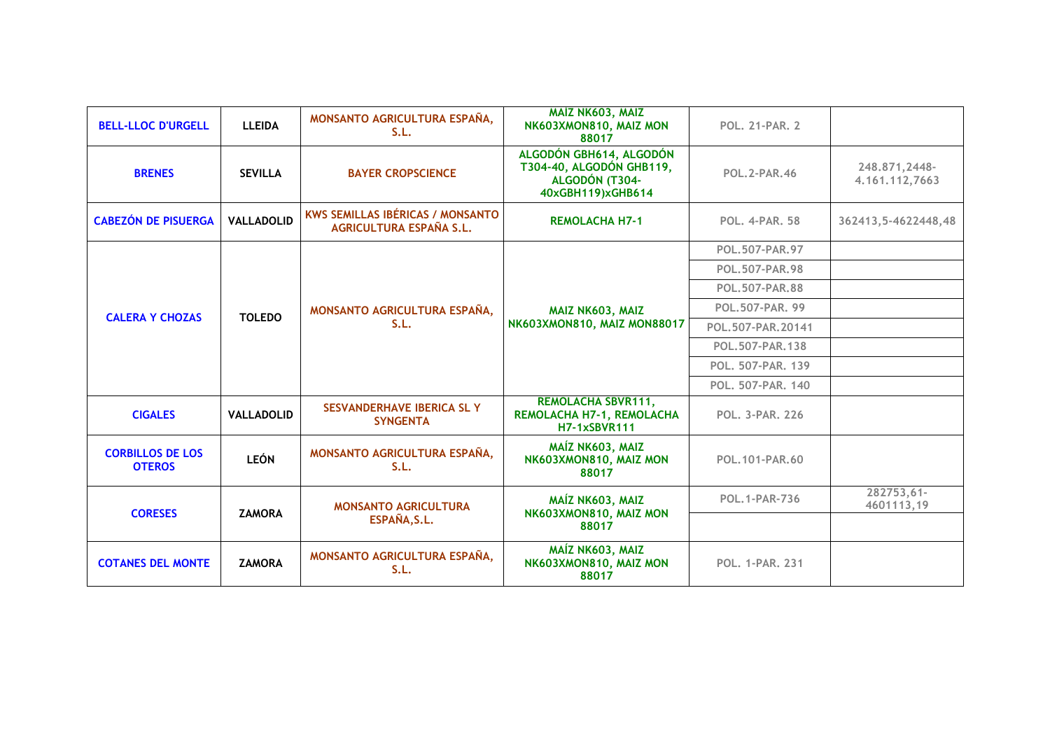| <b>BELL-LLOC D'URGELL</b>                | <b>LLEIDA</b>     | <b>MONSANTO AGRICULTURA ESPAÑA,</b><br>S.L.                               | MAİZ NK603, MAIZ<br>NK603XMON810, MAIZ MON<br>88017                                        | <b>POL. 21-PAR. 2</b>                       |                                 |
|------------------------------------------|-------------------|---------------------------------------------------------------------------|--------------------------------------------------------------------------------------------|---------------------------------------------|---------------------------------|
| <b>BRENES</b>                            | <b>SEVILLA</b>    | <b>BAYER CROPSCIENCE</b>                                                  | ALGODÓN GBH614, ALGODÓN<br>T304-40, ALGODÓN GHB119,<br>ALGODÓN (T304-<br>40xGBH119)xGHB614 | <b>POL. 2-PAR. 46</b>                       | 248.871,2448-<br>4.161.112,7663 |
| <b>CABEZÓN DE PISUERGA</b>               | <b>VALLADOLID</b> | <b>KWS SEMILLAS IBÉRICAS / MONSANTO</b><br><b>AGRICULTURA ESPAÑA S.L.</b> | <b>REMOLACHA H7-1</b>                                                                      | <b>POL. 4-PAR. 58</b>                       | 362413, 5-4622448, 48           |
|                                          |                   |                                                                           |                                                                                            | POL.507-PAR.97                              |                                 |
|                                          |                   |                                                                           |                                                                                            | <b>POL.507-PAR.98</b>                       |                                 |
|                                          |                   |                                                                           |                                                                                            | <b>POL.507-PAR.88</b>                       |                                 |
| <b>CALERA Y CHOZAS</b>                   | <b>TOLEDO</b>     | MONSANTO AGRICULTURA ESPAÑA,                                              | MAIZ NK603, MAIZ                                                                           | POL.507-PAR. 99                             |                                 |
|                                          |                   | S.L.                                                                      | NK603XMON810, MAIZ MON88017                                                                | POL.507-PAR.20141                           |                                 |
|                                          |                   |                                                                           |                                                                                            | POL.507-PAR.138                             |                                 |
|                                          |                   |                                                                           |                                                                                            | POL. 507-PAR. 139                           |                                 |
|                                          |                   |                                                                           |                                                                                            | POL. 507-PAR. 140<br><b>POL. 3-PAR. 226</b> |                                 |
| <b>CIGALES</b>                           | <b>VALLADOLID</b> | <b>SESVANDERHAVE IBERICA SL Y</b><br><b>SYNGENTA</b>                      | <b>REMOLACHA SBVR111,</b><br>REMOLACHA H7-1, REMOLACHA<br><b>H7-1xSBVR111</b>              |                                             |                                 |
| <b>CORBILLOS DE LOS</b><br><b>OTEROS</b> | <b>LEÓN</b>       | MONSANTO AGRICULTURA ESPAÑA,<br>S.L.                                      | MAÍZ NK603, MAIZ<br>NK603XMON810, MAIZ MON<br>88017                                        | POL. 101-PAR. 60                            |                                 |
| <b>CORESES</b>                           | <b>ZAMORA</b>     | <b>MONSANTO AGRICULTURA</b>                                               | MAÍZ NK603, MAIZ<br>NK603XMON810, MAIZ MON                                                 | <b>POL.1-PAR-736</b>                        | 282753,61-<br>4601113,19        |
|                                          |                   | ESPAÑA, S.L.                                                              | 88017                                                                                      |                                             |                                 |
| <b>COTANES DEL MONTE</b>                 | <b>ZAMORA</b>     | MONSANTO AGRICULTURA ESPAÑA,<br>S.L.                                      | MAÍZ NK603, MAIZ<br>NK603XMON810, MAIZ MON<br>88017                                        | <b>POL. 1-PAR. 231</b>                      |                                 |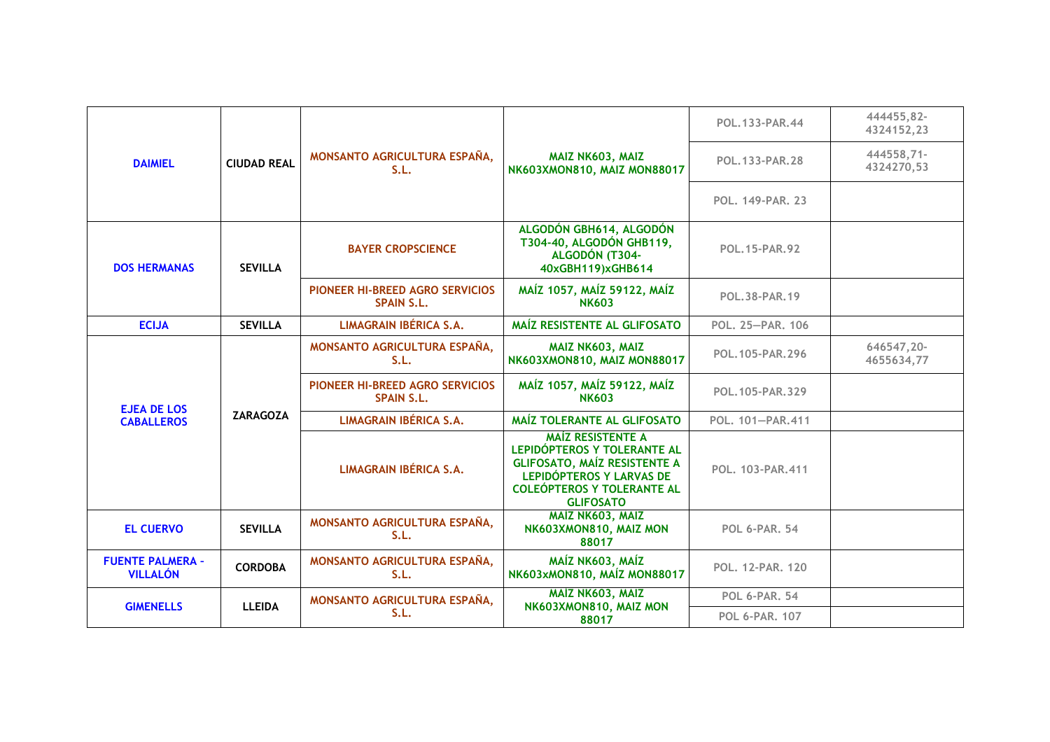| <b>DAIMIEL</b>                             |                    |                                                      |                                                                                                                                                                                     | POL. 133-PAR. 44                               | 444455,82-<br>4324152,23 |
|--------------------------------------------|--------------------|------------------------------------------------------|-------------------------------------------------------------------------------------------------------------------------------------------------------------------------------------|------------------------------------------------|--------------------------|
|                                            | <b>CIUDAD REAL</b> | MONSANTO AGRICULTURA ESPAÑA,<br>S.L.                 | MAIZ NK603, MAIZ<br>NK603XMON810, MAIZ MON88017                                                                                                                                     | POL. 133-PAR. 28                               | 444558,71-<br>4324270,53 |
|                                            |                    |                                                      |                                                                                                                                                                                     | POL. 149-PAR. 23                               |                          |
| <b>DOS HERMANAS</b>                        | <b>SEVILLA</b>     | <b>BAYER CROPSCIENCE</b>                             | ALGODÓN GBH614, ALGODÓN<br>T304-40, ALGODÓN GHB119,<br>ALGODÓN (T304-<br>40xGBH119)xGHB614                                                                                          | <b>POL. 15-PAR. 92</b><br><b>POL.38-PAR.19</b> |                          |
|                                            |                    | PIONEER HI-BREED AGRO SERVICIOS<br><b>SPAIN S.L.</b> | MAÍZ 1057, MAÍZ 59122, MAÍZ<br><b>NK603</b>                                                                                                                                         |                                                |                          |
| <b>ECIJA</b>                               | <b>SEVILLA</b>     | <b>LIMAGRAIN IBÉRICA S.A.</b>                        | MAÍZ RESISTENTE AL GLIFOSATO                                                                                                                                                        | POL. 25-PAR. 106                               |                          |
| <b>EJEA DE LOS</b>                         |                    | MONSANTO AGRICULTURA ESPAÑA,<br>S.L.                 | MAIZ NK603, MAIZ<br>NK603XMON810, MAIZ MON88017                                                                                                                                     | POL. 105-PAR. 296                              | 646547,20-<br>4655634,77 |
|                                            |                    | PIONEER HI-BREED AGRO SERVICIOS<br><b>SPAIN S.L.</b> | MAÍZ 1057, MAÍZ 59122, MAÍZ<br><b>NK603</b>                                                                                                                                         | POL.105-PAR.329                                |                          |
| <b>CABALLEROS</b>                          | <b>ZARAGOZA</b>    | <b>LIMAGRAIN IBÉRICA S.A.</b>                        | MAÍZ TOLERANTE AL GLIFOSATO                                                                                                                                                         | POL. 101-PAR.411                               |                          |
|                                            |                    | LIMAGRAIN IBÉRICA S.A.                               | <b>MAÍZ RESISTENTE A</b><br>LEPIDÓPTEROS Y TOLERANTE AL<br><b>GLIFOSATO, MAÍZ RESISTENTE A</b><br>LEPIDÓPTEROS Y LARVAS DE<br><b>COLEÓPTEROS Y TOLERANTE AL</b><br><b>GLIFOSATO</b> | POL. 103-PAR.411                               |                          |
| <b>EL CUERVO</b>                           | <b>SEVILLA</b>     | MONSANTO AGRICULTURA ESPAÑA,<br>S.L.                 | MAÍZ NK603, MAIZ<br>NK603XMON810, MAIZ MON<br>88017                                                                                                                                 | <b>POL 6-PAR, 54</b>                           |                          |
| <b>FUENTE PALMERA -</b><br><b>VILLALÓN</b> | <b>CORDOBA</b>     | MONSANTO AGRICULTURA ESPAÑA,<br>S.L.                 | MAÍZ NK603, MAÍZ<br>NK603xMON810, MAÍZ MON88017                                                                                                                                     | POL. 12-PAR. 120                               |                          |
| <b>GIMENELLS</b>                           | <b>LLEIDA</b>      | MONSANTO AGRICULTURA ESPAÑA,                         | MAİZ NK603, MAIZ<br>NK603XMON810, MAIZ MON                                                                                                                                          | <b>POL 6-PAR, 54</b>                           |                          |
|                                            |                    | S.L.<br>88017                                        | <b>POL 6-PAR, 107</b>                                                                                                                                                               |                                                |                          |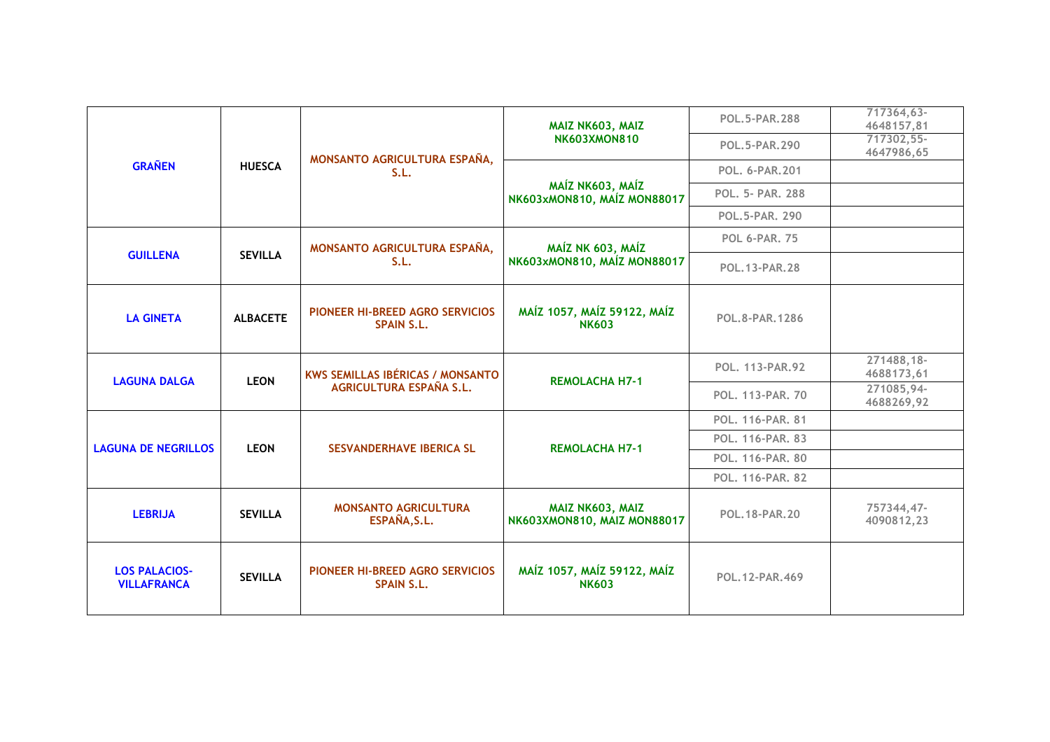| <b>GRAÑEN</b>                              |                 |                                                      | MAIZ NK603, MAIZ                                | <b>POL.5-PAR.288</b>               | 717364,63-<br>4648157,81 |
|--------------------------------------------|-----------------|------------------------------------------------------|-------------------------------------------------|------------------------------------|--------------------------|
|                                            |                 | MONSANTO AGRICULTURA ESPAÑA,                         | <b>NK603XMON810</b>                             | POL.5-PAR.290                      | 717302,55-<br>4647986,65 |
|                                            | <b>HUESCA</b>   | S.L.                                                 |                                                 | POL. 6-PAR.201<br>POL. 5- PAR. 288 |                          |
|                                            |                 |                                                      | MAÍZ NK603, MAÍZ<br>NK603xMON810, MAÍZ MON88017 |                                    |                          |
|                                            |                 |                                                      |                                                 | <b>POL.5-PAR. 290</b>              |                          |
|                                            |                 | MONSANTO AGRICULTURA ESPAÑA,                         | MAÍZ NK 603, MAÍZ                               | <b>POL 6-PAR, 75</b>               |                          |
| <b>GUILLENA</b>                            | <b>SEVILLA</b>  | S.L.                                                 | NK603xMON810, MAÍZ MON88017                     | POL. 13-PAR. 28                    |                          |
| <b>LA GINETA</b>                           | <b>ALBACETE</b> | PIONEER HI-BREED AGRO SERVICIOS<br><b>SPAIN S.L.</b> | MAÍZ 1057, MAÍZ 59122, MAÍZ<br><b>NK603</b>     | <b>POL.8-PAR.1286</b>              |                          |
| <b>LAGUNA DALGA</b>                        | <b>LEON</b>     | <b>KWS SEMILLAS IBÉRICAS / MONSANTO</b>              |                                                 | <b>POL. 113-PAR.92</b>             | 271488,18-<br>4688173,61 |
|                                            |                 | <b>AGRICULTURA ESPAÑA S.L.</b>                       | <b>REMOLACHA H7-1</b>                           | POL. 113-PAR. 70                   | 271085,94-<br>4688269,92 |
|                                            |                 |                                                      |                                                 | POL. 116-PAR. 81                   |                          |
| <b>LAGUNA DE NEGRILLOS</b>                 | <b>LEON</b>     | <b>SESVANDERHAVE IBERICA SL</b>                      | <b>REMOLACHA H7-1</b>                           | POL. 116-PAR. 83                   |                          |
|                                            |                 |                                                      |                                                 | POL. 116-PAR. 80                   |                          |
|                                            |                 |                                                      |                                                 | POL. 116-PAR. 82                   |                          |
| <b>LEBRIJA</b>                             | <b>SEVILLA</b>  | <b>MONSANTO AGRICULTURA</b><br>ESPAÑA, S.L.          | MAIZ NK603, MAIZ<br>NK603XMON810, MAIZ MON88017 | POL. 18-PAR. 20                    | 757344,47-<br>4090812,23 |
| <b>LOS PALACIOS-</b><br><b>VILLAFRANCA</b> | <b>SEVILLA</b>  | PIONEER HI-BREED AGRO SERVICIOS<br><b>SPAIN S.L.</b> | MAÍZ 1057, MAÍZ 59122, MAÍZ<br><b>NK603</b>     | POL. 12-PAR. 469                   |                          |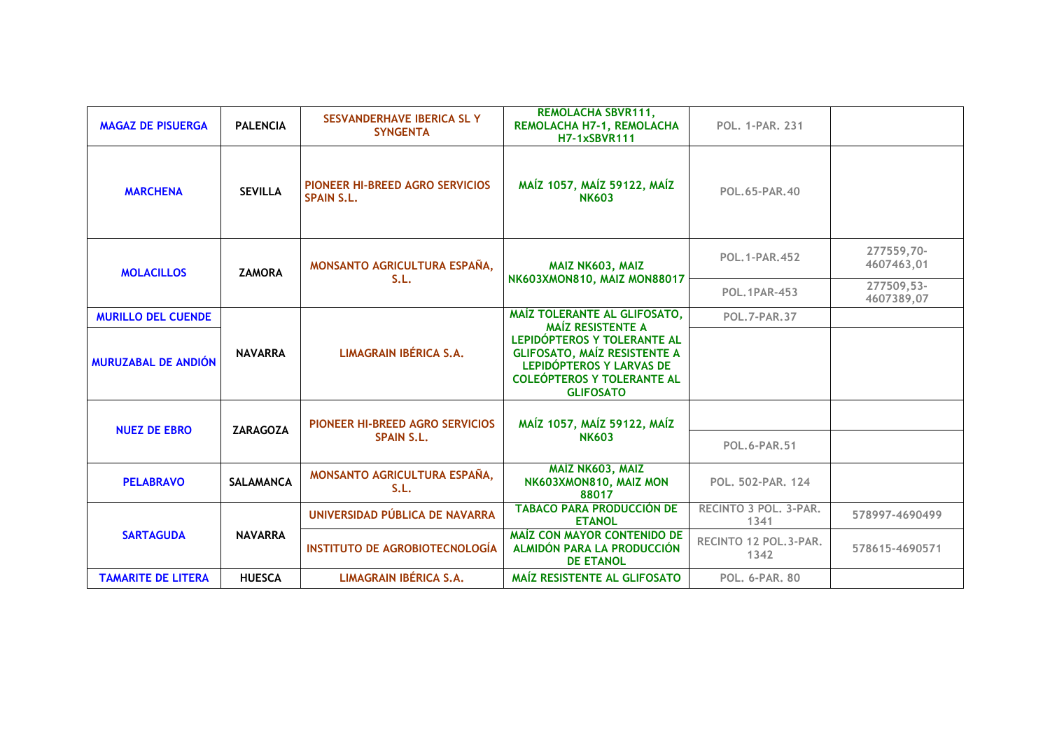| <b>MAGAZ DE PISUERGA</b>   | <b>PALENCIA</b>  | SESVANDERHAVE IBERICA SL Y<br><b>SYNGENTA</b>               | <b>REMOLACHA SBVR111,</b><br>REMOLACHA H7-1, REMOLACHA<br><b>H7-1xSBVR111</b>                                                                                                                                       | <b>POL. 1-PAR. 231</b>        |                          |
|----------------------------|------------------|-------------------------------------------------------------|---------------------------------------------------------------------------------------------------------------------------------------------------------------------------------------------------------------------|-------------------------------|--------------------------|
| <b>MARCHENA</b>            | <b>SEVILLA</b>   | <b>PIONEER HI-BREED AGRO SERVICIOS</b><br><b>SPAIN S.L.</b> | MAÍZ 1057, MAÍZ 59122, MAÍZ<br><b>NK603</b>                                                                                                                                                                         | POL.65-PAR.40                 |                          |
| <b>MOLACILLOS</b>          | <b>ZAMORA</b>    | MONSANTO AGRICULTURA ESPAÑA,                                | MAIZ NK603, MAIZ                                                                                                                                                                                                    | <b>POL. 1-PAR. 452</b>        | 277559,70-<br>4607463,01 |
|                            |                  | S.L.                                                        | NK603XMON810, MAIZ MON88017                                                                                                                                                                                         | <b>POL. 1PAR-453</b>          | 277509,53-<br>4607389,07 |
| <b>MURILLO DEL CUENDE</b>  | <b>NAVARRA</b>   |                                                             | MAÍZ TOLERANTE AL GLIFOSATO,<br><b>MAÍZ RESISTENTE A</b><br>LEPIDÓPTEROS Y TOLERANTE AL<br><b>GLIFOSATO, MAÍZ RESISTENTE A</b><br>LEPIDÓPTEROS Y LARVAS DE<br><b>COLEÓPTEROS Y TOLERANTE AL</b><br><b>GLIFOSATO</b> | <b>POL.7-PAR.37</b>           |                          |
| <b>MURUZABAL DE ANDIÓN</b> |                  | LIMAGRAIN IBÉRICA S.A.                                      |                                                                                                                                                                                                                     |                               |                          |
|                            |                  |                                                             |                                                                                                                                                                                                                     |                               |                          |
| <b>NUEZ DE EBRO</b>        | <b>ZARAGOZA</b>  | PIONEER HI-BREED AGRO SERVICIOS<br><b>SPAIN S.L.</b>        | MAÍZ 1057, MAÍZ 59122, MAÍZ<br><b>NK603</b>                                                                                                                                                                         | <b>POL.6-PAR.51</b>           |                          |
|                            |                  |                                                             |                                                                                                                                                                                                                     |                               |                          |
| <b>PELABRAVO</b>           | <b>SALAMANCA</b> | MONSANTO AGRICULTURA ESPAÑA,<br>S.L.                        | MAÍZ NK603, MAIZ<br>NK603XMON810, MAIZ MON<br>88017                                                                                                                                                                 | POL. 502-PAR. 124             |                          |
| <b>SARTAGUDA</b>           |                  | UNIVERSIDAD PÚBLICA DE NAVARRA                              | <b>TABACO PARA PRODUCCIÓN DE</b><br><b>ETANOL</b>                                                                                                                                                                   | RECINTO 3 POL, 3-PAR.<br>1341 | 578997-4690499           |
|                            | <b>NAVARRA</b>   | <b>INSTITUTO DE AGROBIOTECNOLOGÍA</b>                       | <b>MAÍZ CON MAYOR CONTENIDO DE</b><br>ALMIDÓN PARA LA PRODUCCIÓN<br><b>DE ETANOL</b>                                                                                                                                | RECINTO 12 POL.3-PAR.<br>1342 | 578615-4690571           |
| <b>TAMARITE DE LITERA</b>  | <b>HUESCA</b>    | <b>LIMAGRAIN IBÉRICA S.A.</b>                               | MAÍZ RESISTENTE AL GLIFOSATO                                                                                                                                                                                        | <b>POL. 6-PAR. 80</b>         |                          |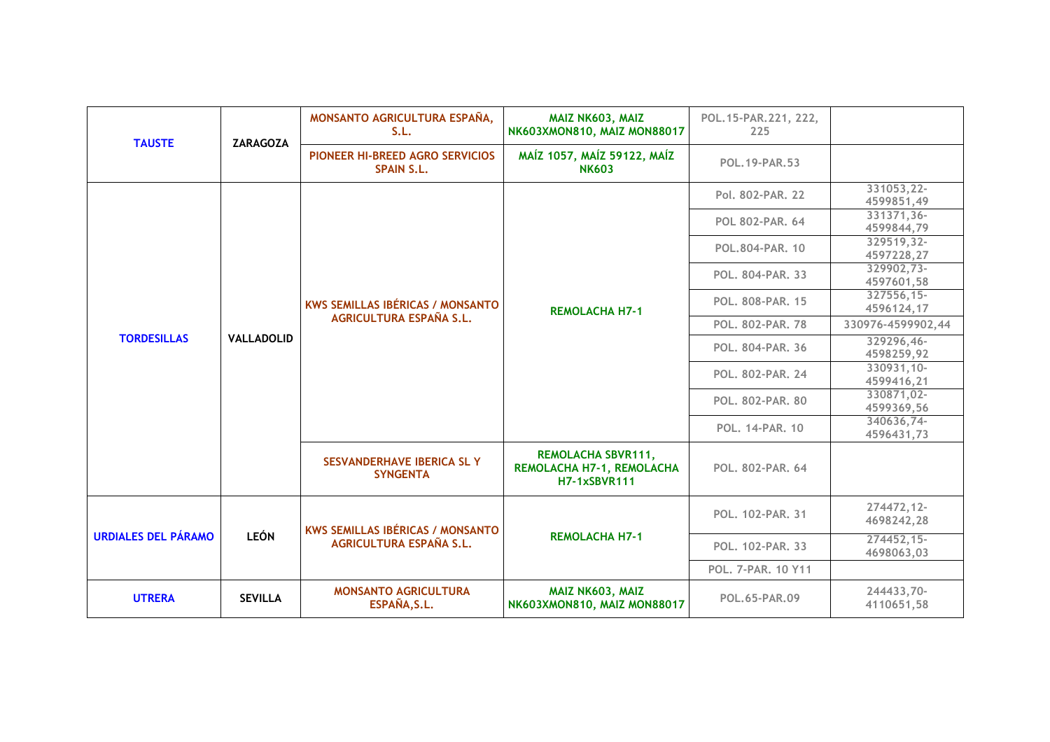| <b>TAUSTE</b>              | <b>ZARAGOZA</b>   | MONSANTO AGRICULTURA ESPAÑA,<br>S.L.                               | MAIZ NK603, MAIZ<br>NK603XMON810, MAIZ MON88017                               | POL. 15-PAR. 221, 222,<br>225 |                            |
|----------------------------|-------------------|--------------------------------------------------------------------|-------------------------------------------------------------------------------|-------------------------------|----------------------------|
|                            |                   | PIONEER HI-BREED AGRO SERVICIOS<br><b>SPAIN S.L.</b>               | MAÍZ 1057, MAÍZ 59122, MAÍZ<br><b>NK603</b>                                   | <b>POL. 19-PAR. 53</b>        |                            |
|                            |                   |                                                                    |                                                                               | Pol. 802-PAR. 22              | 331053,22-<br>4599851,49   |
|                            |                   |                                                                    |                                                                               | <b>POL 802-PAR. 64</b>        | 331371,36-<br>4599844,79   |
|                            |                   |                                                                    |                                                                               | POL.804-PAR. 10               | 329519,32-<br>4597228,27   |
|                            |                   | <b>KWS SEMILLAS IBÉRICAS / MONSANTO</b>                            |                                                                               | POL. 804-PAR. 33              | 329902,73-<br>4597601,58   |
| <b>TORDESILLAS</b>         |                   |                                                                    | <b>REMOLACHA H7-1</b>                                                         | <b>POL. 808-PAR. 15</b>       | 327556,15-<br>4596124,17   |
|                            |                   | <b>AGRICULTURA ESPAÑA S.L.</b>                                     |                                                                               | <b>POL. 802-PAR. 78</b>       | 330976-4599902,44          |
|                            | <b>VALLADOLID</b> |                                                                    |                                                                               | <b>POL. 804-PAR. 36</b>       | 329296,46-<br>4598259,92   |
|                            |                   |                                                                    |                                                                               | POL. 802-PAR. 24              | $330931,10-$<br>4599416,21 |
|                            |                   |                                                                    |                                                                               | <b>POL. 802-PAR. 80</b>       | 330871,02-<br>4599369,56   |
|                            |                   |                                                                    |                                                                               | <b>POL. 14-PAR. 10</b>        | 340636,74-<br>4596431,73   |
|                            |                   | SESVANDERHAVE IBERICA SL Y<br><b>SYNGENTA</b>                      | <b>REMOLACHA SBVR111,</b><br>REMOLACHA H7-1, REMOLACHA<br><b>H7-1xSBVR111</b> | POL. 802-PAR. 64              |                            |
| <b>URDIALES DEL PÁRAMO</b> | <b>LEÓN</b>       | <b>KWS SEMILLAS IBÉRICAS / MONSANTO</b><br>AGRICULTURA ESPAÑA S.L. |                                                                               | POL. 102-PAR. 31              | 274472,12-<br>4698242,28   |
|                            |                   |                                                                    | <b>REMOLACHA H7-1</b>                                                         | POL. 102-PAR. 33              | 274452,15-<br>4698063,03   |
|                            |                   |                                                                    |                                                                               | POL. 7-PAR. 10 Y11            |                            |
| <b>UTRERA</b>              | <b>SEVILLA</b>    | <b>MONSANTO AGRICULTURA</b><br>ESPAÑA, S.L.                        | MAIZ NK603, MAIZ<br>NK603XMON810, MAIZ MON88017                               | POL.65-PAR.09                 | 244433,70-<br>4110651,58   |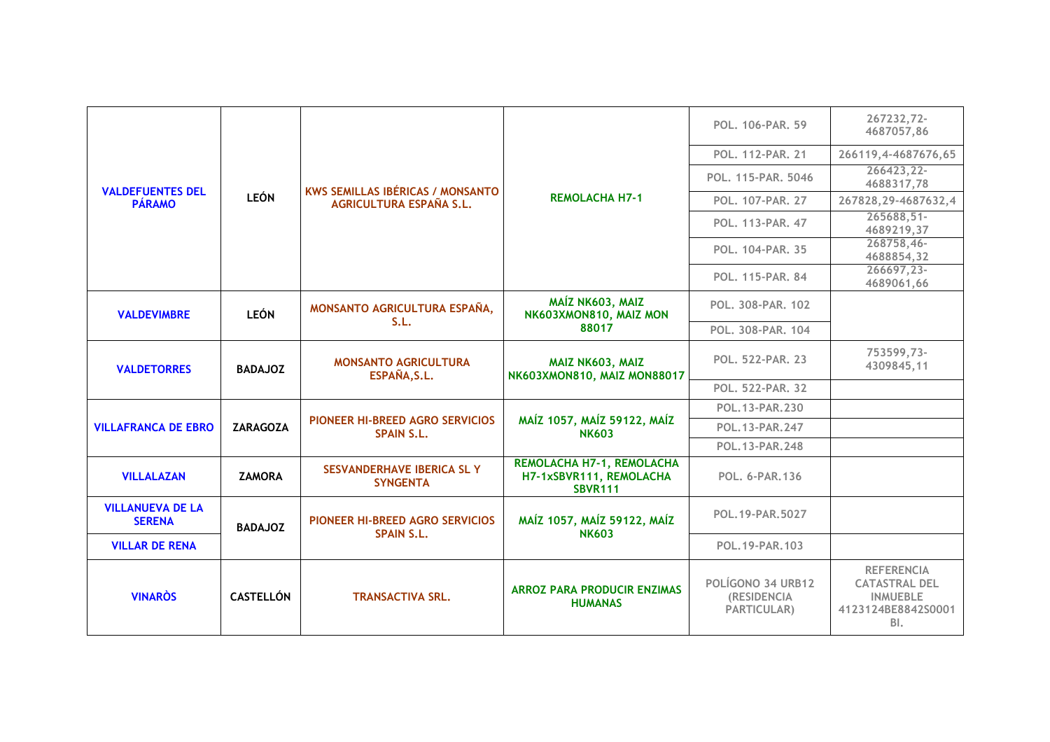|                                          |                  |                                                      |                                                                        | POL. 106-PAR. 59                                              | 267232,72-<br>4687057,86                                                                  |  |
|------------------------------------------|------------------|------------------------------------------------------|------------------------------------------------------------------------|---------------------------------------------------------------|-------------------------------------------------------------------------------------------|--|
|                                          |                  |                                                      |                                                                        | POL. 112-PAR. 21                                              | 266119,4-4687676,65                                                                       |  |
| <b>VALDEFUENTES DEL</b>                  |                  | <b>KWS SEMILLAS IBÉRICAS / MONSANTO</b>              |                                                                        | POL. 115-PAR. 5046                                            | 266423,22-<br>4688317,78                                                                  |  |
| <b>PÁRAMO</b>                            | <b>LEÓN</b>      | AGRICULTURA ESPAÑA S.L.                              | <b>REMOLACHA H7-1</b>                                                  | POL. 107-PAR. 27                                              | 267828, 29-4687632, 4                                                                     |  |
|                                          |                  |                                                      |                                                                        | POL. 113-PAR. 47                                              | 265688,51-<br>4689219,37                                                                  |  |
|                                          |                  |                                                      |                                                                        | <b>POL. 104-PAR. 35</b>                                       | 268758,46-<br>4688854,32                                                                  |  |
|                                          |                  |                                                      |                                                                        | POL. 115-PAR. 84                                              | 266697,23-<br>4689061,66                                                                  |  |
| <b>VALDEVIMBRE</b>                       | <b>LEÓN</b>      | MONSANTO AGRICULTURA ESPAÑA,<br>S.L.                 | MAÍZ NK603, MAIZ<br>NK603XMON810, MAIZ MON                             | POL. 308-PAR. 102                                             |                                                                                           |  |
|                                          |                  |                                                      | 88017                                                                  | POL. 308-PAR. 104                                             |                                                                                           |  |
| <b>VALDETORRES</b>                       | <b>BADAJOZ</b>   | <b>MONSANTO AGRICULTURA</b><br>ESPAÑA, S.L.          | MAIZ NK603, MAIZ<br>NK603XMON810, MAIZ MON88017                        | <b>POL. 522-PAR. 23</b>                                       | 753599,73-<br>4309845,11                                                                  |  |
|                                          |                  |                                                      |                                                                        | POL. 522-PAR. 32                                              |                                                                                           |  |
|                                          |                  |                                                      |                                                                        | POL.13-PAR.230<br>POL. 13-PAR. 247<br>POL.13-PAR.248          |                                                                                           |  |
| <b>VILLAFRANCA DE EBRO</b>               | <b>ZARAGOZA</b>  | PIONEER HI-BREED AGRO SERVICIOS<br><b>SPAIN S.L.</b> | MAÍZ 1057, MAÍZ 59122, MAÍZ<br><b>NK603</b>                            |                                                               |                                                                                           |  |
|                                          |                  |                                                      |                                                                        |                                                               |                                                                                           |  |
| <b>VILLALAZAN</b>                        | <b>ZAMORA</b>    | SESVANDERHAVE IBERICA SL Y<br><b>SYNGENTA</b>        | REMOLACHA H7-1, REMOLACHA<br>H7-1xSBVR111, REMOLACHA<br><b>SBVR111</b> | <b>POL. 6-PAR.136</b>                                         |                                                                                           |  |
| <b>VILLANUEVA DE LA</b><br><b>SERENA</b> | <b>BADAJOZ</b>   |                                                      | PIONEER HI-BREED AGRO SERVICIOS                                        | MAÍZ 1057, MAÍZ 59122, MAÍZ<br><b>NK603</b>                   | POL.19-PAR.5027                                                                           |  |
| <b>VILLAR DE RENA</b>                    |                  | <b>SPAIN S.L.</b>                                    |                                                                        | POL. 19-PAR. 103                                              |                                                                                           |  |
| <b>VINAROS</b>                           | <b>CASTELLÓN</b> | <b>TRANSACTIVA SRL.</b>                              | <b>ARROZ PARA PRODUCIR ENZIMAS</b><br><b>HUMANAS</b>                   | POLÍGONO 34 URB12<br><b>(RESIDENCIA</b><br><b>PARTICULAR)</b> | <b>REFERENCIA</b><br><b>CATASTRAL DEL</b><br><b>INMUEBLE</b><br>4123124BE8842S0001<br>BI. |  |